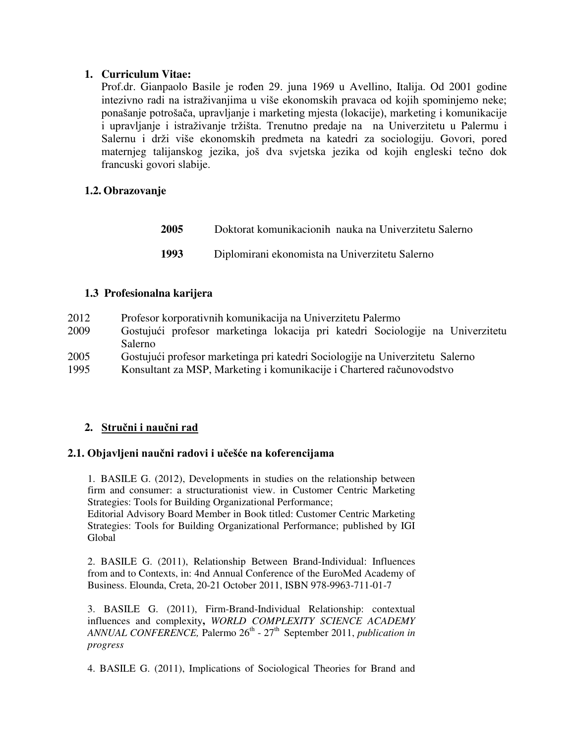# **1. Curriculum Vitae:**

Prof.dr. Gianpaolo Basile je rođen 29. juna 1969 u Avellino, Italija. Od 2001 godine intezivno radi na istraživanjima u više ekonomskih pravaca od kojih spominjemo neke; ponašanje potrošača, upravljanje i marketing mjesta (lokacije), marketing i komunikacije i upravljanje i istraživanje tržišta. Trenutno predaje na na Univerzitetu u Palermu i Salernu i drži više ekonomskih predmeta na katedri za sociologiju. Govori, pored maternjeg talijanskog jezika, još dva svjetska jezika od kojih engleski tečno dok francuski govori slabije.

# **1.2. Obrazovanje**

| <b>2005</b> | Doktorat komunikacionih nauka na Univerzitetu Salerno |
|-------------|-------------------------------------------------------|
| 1993        | Diplomirani ekonomista na Univerzitetu Salerno        |

## **1.3 Profesionalna karijera**

| 2012 | Profesor korporativnih komunikacija na Univerzitetu Palermo                    |
|------|--------------------------------------------------------------------------------|
| 2009 | Gostujući profesor marketinga lokacija pri katedri Sociologije na Univerzitetu |
|      | Salerno                                                                        |
| 2005 | Gostujući profesor marketinga pri katedri Sociologije na Univerzitetu Salerno  |
| 1995 | Konsultant za MSP, Marketing i komunikacije i Chartered računovodstvo          |

# **2. Stručni i naučni rad**

## **2.1. Objavljeni naučni radovi i učešće na koferencijama**

1. BASILE G. (2012), Developments in studies on the relationship between firm and consumer: a structurationist view. in Customer Centric Marketing Strategies: Tools for Building Organizational Performance;

Editorial Advisory Board Member in Book titled: Customer Centric Marketing Strategies: Tools for Building Organizational Performance; published by IGI Global

2. BASILE G. (2011), Relationship Between Brand-Individual: Influences from and to Contexts, in: 4nd Annual Conference of the EuroMed Academy of Business. Elounda, Creta, 20-21 October 2011, ISBN 978-9963-711-01-7

3. BASILE G. (2011), Firm-Brand-Individual Relationship: contextual influences and complexity**,** *WORLD COMPLEXITY SCIENCE ACADEMY ANNUAL CONFERENCE*, Palermo  $26<sup>th</sup>$  -  $27<sup>th</sup>$  September 2011, *publication in progress*

4. BASILE G. (2011), Implications of Sociological Theories for Brand and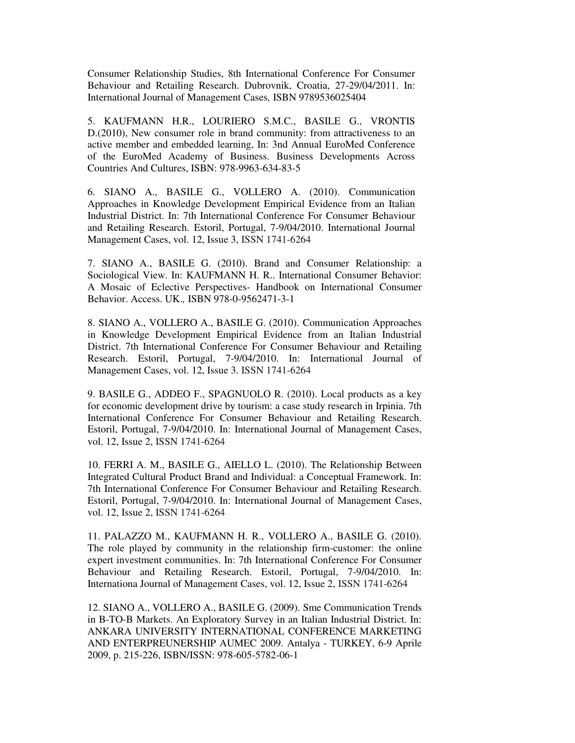Consumer Relationship Studies, 8th International Conference For Consumer Behaviour and Retailing Research. Dubrovnik, Croatia, 27-29/04/2011. In: International Journal of Management Cases*,* ISBN 9789536025404

5. KAUFMANN H.R., LOURIERO S.M.C., BASILE G., VRONTIS D.(2010), New consumer role in brand community: from attractiveness to an active member and embedded learning, In: 3nd Annual EuroMed Conference of the EuroMed Academy of Business. Business Developments Across Countries And Cultures, ISBN: 978-9963-634-83-5

6. SIANO A., BASILE G., VOLLERO A. (2010). Communication Approaches in Knowledge Development Empirical Evidence from an Italian Industrial District. In: 7th International Conference For Consumer Behaviour and Retailing Research. Estoril, Portugal, 7-9/04/2010. International Journal Management Cases, vol. 12, Issue 3, ISSN 1741-6264

7. SIANO A., BASILE G. (2010). Brand and Consumer Relationship: a Sociological View. In: KAUFMANN H. R.. International Consumer Behavior: A Mosaic of Eclective Perspectives- Handbook on International Consumer Behavior. Access. UK.*,* ISBN 978-0-9562471-3-1

8. SIANO A., VOLLERO A., BASILE G. (2010). Communication Approaches in Knowledge Development Empirical Evidence from an Italian Industrial District. 7th International Conference For Consumer Behaviour and Retailing Research. Estoril, Portugal, 7-9/04/2010. In: International Journal of Management Cases, vol. 12, Issue 3. ISSN 1741-6264

9. BASILE G., ADDEO F., SPAGNUOLO R. (2010). Local products as a key for economic development drive by tourism: a case study research in Irpinia. 7th International Conference For Consumer Behaviour and Retailing Research. Estoril, Portugal, 7-9/04/2010. In: International Journal of Management Cases, vol. 12, Issue 2, ISSN 1741-6264

10. FERRI A. M., BASILE G., AIELLO L. (2010). The Relationship Between Integrated Cultural Product Brand and Individual: a Conceptual Framework. In: 7th International Conference For Consumer Behaviour and Retailing Research. Estoril, Portugal, 7-9/04/2010. In: International Journal of Management Cases, vol. 12, Issue 2, ISSN 1741-6264

11. PALAZZO M., KAUFMANN H. R., VOLLERO A., BASILE G. (2010). The role played by community in the relationship firm-customer: the online expert investment communities. In: 7th International Conference For Consumer Behaviour and Retailing Research. Estoril, Portugal, 7-9/04/2010. In: Internationa Journal of Management Cases, vol. 12, Issue 2, ISSN 1741-6264

12. SIANO A., VOLLERO A., BASILE G. (2009). Sme Communication Trends in B-TO-B Markets. An Exploratory Survey in an Italian Industrial District. In: ANKARA UNIVERSITY INTERNATIONAL CONFERENCE MARKETING AND ENTERPREUNERSHIP AUMEC 2009. Antalya - TURKEY, 6-9 Aprile 2009, p. 215-226, ISBN/ISSN: 978-605-5782-06-1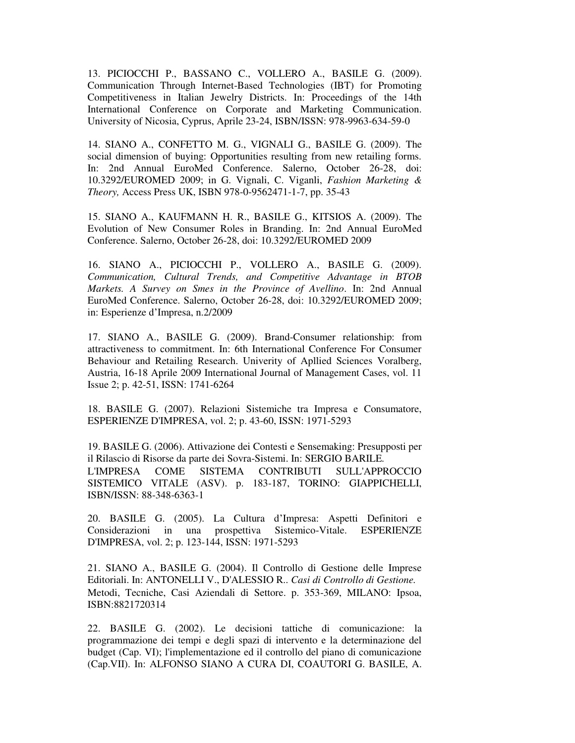13. PICIOCCHI P., BASSANO C., VOLLERO A., BASILE G. (2009). Communication Through Internet-Based Technologies (IBT) for Promoting Competitiveness in Italian Jewelry Districts. In: Proceedings of the 14th International Conference on Corporate and Marketing Communication. University of Nicosia, Cyprus, Aprile 23-24, ISBN/ISSN: 978-9963-634-59-0

14. SIANO A., CONFETTO M. G., VIGNALI G., BASILE G. (2009). The social dimension of buying: Opportunities resulting from new retailing forms. In: 2nd Annual EuroMed Conference. Salerno, October 26-28, doi: 10.3292/EUROMED 2009; in G. Vignali, C. Viganli, *Fashion Marketing & Theory,* Access Press UK, ISBN 978-0-9562471-1-7, pp. 35-43

15. SIANO A., KAUFMANN H. R., BASILE G., KITSIOS A. (2009). The Evolution of New Consumer Roles in Branding. In: 2nd Annual EuroMed Conference. Salerno, October 26-28, doi: 10.3292/EUROMED 2009

16. SIANO A., PICIOCCHI P., VOLLERO A., BASILE G. (2009). *Communication, Cultural Trends, and Competitive Advantage in BTOB Markets. A Survey on Smes in the Province of Avellino*. In: 2nd Annual EuroMed Conference. Salerno, October 26-28, doi: 10.3292/EUROMED 2009; in: Esperienze d'Impresa, n.2/2009

17. SIANO A., BASILE G. (2009). Brand-Consumer relationship: from attractiveness to commitment. In: 6th International Conference For Consumer Behaviour and Retailing Research. Univerity of Apllied Sciences Voralberg, Austria, 16-18 Aprile 2009 International Journal of Management Cases, vol. 11 Issue 2; p. 42-51, ISSN: 1741-6264

18. BASILE G. (2007). Relazioni Sistemiche tra Impresa e Consumatore, ESPERIENZE D'IMPRESA, vol. 2; p. 43-60, ISSN: 1971-5293

19. BASILE G. (2006). Attivazione dei Contesti e Sensemaking: Presupposti per il Rilascio di Risorse da parte dei Sovra-Sistemi. In: SERGIO BARILE*.* L'IMPRESA COME SISTEMA CONTRIBUTI SULL'APPROCCIO SISTEMICO VITALE (ASV). p. 183-187, TORINO: GIAPPICHELLI, ISBN/ISSN: 88-348-6363-1

20. BASILE G. (2005). La Cultura d'Impresa: Aspetti Definitori e Considerazioni in una prospettiva Sistemico-Vitale. ESPERIENZE D'IMPRESA, vol. 2; p. 123-144, ISSN: 1971-5293

21. SIANO A., BASILE G. (2004). Il Controllo di Gestione delle Imprese Editoriali. In: ANTONELLI V., D'ALESSIO R.. *Casi di Controllo di Gestione.* Metodi, Tecniche, Casi Aziendali di Settore. p. 353-369, MILANO: Ipsoa, ISBN:8821720314

22. BASILE G. (2002). Le decisioni tattiche di comunicazione: la programmazione dei tempi e degli spazi di intervento e la determinazione del budget (Cap. VI); l'implementazione ed il controllo del piano di comunicazione (Cap.VII). In: ALFONSO SIANO A CURA DI, COAUTORI G. BASILE, A.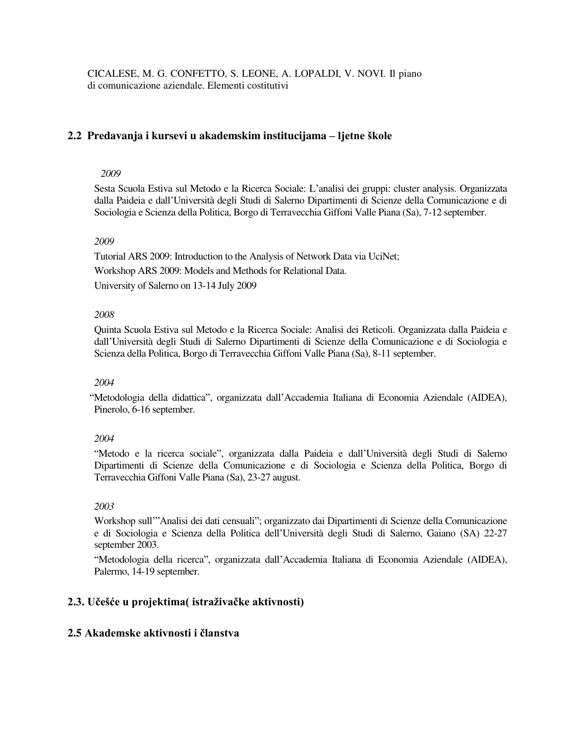CICALESE, M. G. CONFETTO, S. LEONE, A. LOPALDI, V. NOVI. Il piano di comunicazione aziendale. Elementi costitutivi

## **2.2 Predavanja i kursevi u akademskim institucijama – ljetne škole**

#### *2009*

Sesta Scuola Estiva sul Metodo e la Ricerca Sociale: L'analisi dei gruppi: cluster analysis. Organizzata dalla Paideia e dall'Università degli Studi di Salerno Dipartimenti di Scienze della Comunicazione e di Sociologia e Scienza della Politica, Borgo di Terravecchia Giffoni Valle Piana (Sa), 7-12 september.

#### *2009*

Tutorial ARS 2009: Introduction to the Analysis of Network Data via UciNet; Workshop ARS 2009: Models and Methods for Relational Data.

University of Salerno on 13-14 July 2009

#### *2008*

Quinta Scuola Estiva sul Metodo e la Ricerca Sociale: Analisi dei Reticoli. Organizzata dalla Paideia e dall'Università degli Studi di Salerno Dipartimenti di Scienze della Comunicazione e di Sociologia e Scienza della Politica, Borgo di Terravecchia Giffoni Valle Piana (Sa), 8-11 september.

#### *2004*

 "Metodologia della didattica", organizzata dall'Accademia Italiana di Economia Aziendale (AIDEA), Pinerolo, 6-16 september.

#### *2004*

 "Metodo e la ricerca sociale", organizzata dalla Paideia e dall'Università degli Studi di Salerno Dipartimenti di Scienze della Comunicazione e di Sociologia e Scienza della Politica, Borgo di Terravecchia Giffoni Valle Piana (Sa), 23-27 august.

#### *2003*

Workshop sull'"Analisi dei dati censuali"; organizzato dai Dipartimenti di Scienze della Comunicazione e di Sociologia e Scienza della Politica dell'Università degli Studi di Salerno, Gaiano (SA) 22-27 september 2003.

 "Metodologia della ricerca", organizzata dall'Accademia Italiana di Economia Aziendale (AIDEA), Palermo, 14-19 september.

## **2.3. Učešće u projektima( istraživačke aktivnosti)**

#### **2.5 Akademske aktivnosti i članstva**